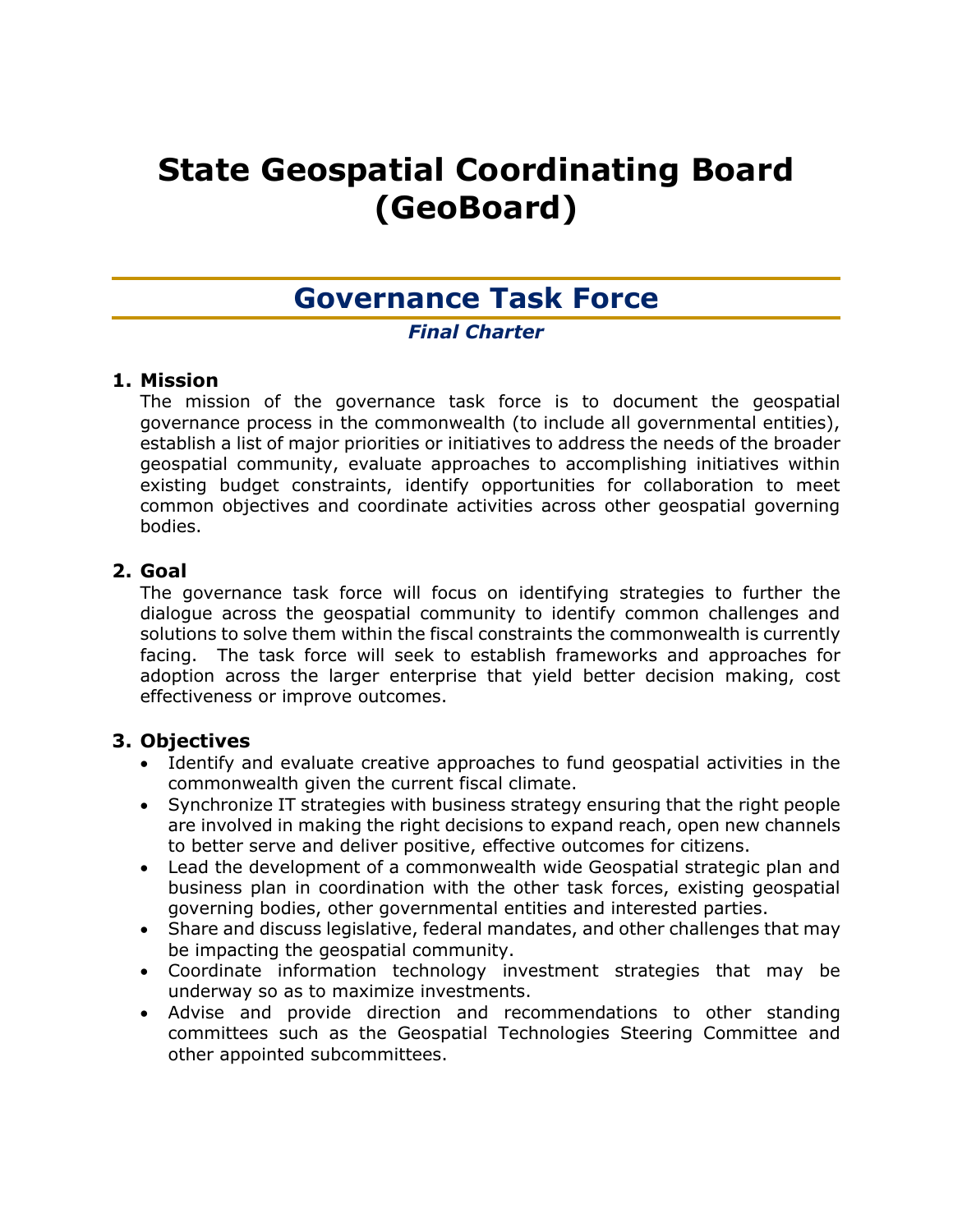# **State Geospatial Coordinating Board (GeoBoard)**

## **Governance Task Force**

## *Final Charter*

## **1. Mission**

The mission of the governance task force is to document the geospatial governance process in the commonwealth (to include all governmental entities), establish a list of major priorities or initiatives to address the needs of the broader geospatial community, evaluate approaches to accomplishing initiatives within existing budget constraints, identify opportunities for collaboration to meet common objectives and coordinate activities across other geospatial governing bodies.

## **2. Goal**

The governance task force will focus on identifying strategies to further the dialogue across the geospatial community to identify common challenges and solutions to solve them within the fiscal constraints the commonwealth is currently facing. The task force will seek to establish frameworks and approaches for adoption across the larger enterprise that yield better decision making, cost effectiveness or improve outcomes.

## **3. Objectives**

- Identify and evaluate creative approaches to fund geospatial activities in the commonwealth given the current fiscal climate.
- Synchronize IT strategies with business strategy ensuring that the right people are involved in making the right decisions to expand reach, open new channels to better serve and deliver positive, effective outcomes for citizens.
- Lead the development of a commonwealth wide Geospatial strategic plan and business plan in coordination with the other task forces, existing geospatial governing bodies, other governmental entities and interested parties.
- Share and discuss legislative, federal mandates, and other challenges that may be impacting the geospatial community.
- Coordinate information technology investment strategies that may be underway so as to maximize investments.
- Advise and provide direction and recommendations to other standing committees such as the Geospatial Technologies Steering Committee and other appointed subcommittees.